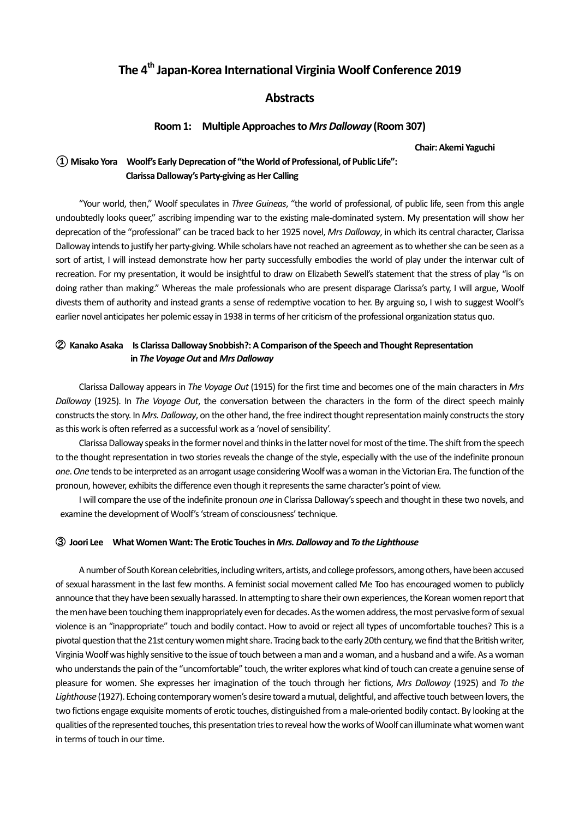# The 4<sup>th</sup> Japan-Korea International Virginia Woolf Conference 2019

## **Abstracts**

### **Room 1:** Multiple Approaches to Mrs Dalloway (Room 307)

**Chair: Akemi Yaguchi** 

# **① Misako Yora Woolf's Early Deprecation of "the World of Professional, of Public Life": Clarissa Dalloway's Party-giving as Her Calling**

"Your world, then," Woolf speculates in *Three Guineas*, "the world of professional, of public life, seen from this angle undoubtedly looks queer," ascribing impending war to the existing male-dominated system. My presentation will show her deprecation of the "professional" can be traced back to her 1925 novel, *Mrs Dalloway*, in which its central character, Clarissa Dalloway intends to justify her party-giving. While scholars have not reached an agreement as to whether she can be seen as a sort of artist, I will instead demonstrate how her party successfully embodies the world of play under the interwar cult of recreation. For my presentation, it would be insightful to draw on Elizabeth Sewell's statement that the stress of play "is on doing rather than making." Whereas the male professionals who are present disparage Clarissa's party, I will argue, Woolf divests them of authority and instead grants a sense of redemptive vocation to her. By arguing so, I wish to suggest Woolf's earlier novel anticipates her polemic essay in 1938 in terms of her criticism of the professional organization status quo.

# **(2) Kanako Asaka** Is Clarissa Dalloway Snobbish?: A Comparison of the Speech and Thought Representation *in The Voyage Out and Mrs Dalloway*

Clarissa Dalloway appears in *The Voyage Out* (1915) for the first time and becomes one of the main characters in Mrs *Dalloway* (1925). In *The Voyage Out*, the conversation between the characters in the form of the direct speech mainly constructs the story. In *Mrs. Dalloway*, on the other hand, the free indirect thought representation mainly constructs the story as this work is often referred as a successful work as a 'novel of sensibility'.

Clarissa Dalloway speaks in the former novel and thinks in the latter novel for most of the time. The shift from the speech to the thought representation in two stories reveals the change of the style, especially with the use of the indefinite pronoun one. One tends to be interpreted as an arrogant usage considering Woolf was a woman in the Victorian Era. The function of the pronoun, however, exhibits the difference even though it represents the same character's point of view.

I will compare the use of the indefinite pronoun *one* in Clarissa Dalloway's speech and thought in these two novels, and examine the development of Woolf's 'stream of consciousness' technique.

#### ③ **Joori Lee What Women Want: The Erotic Touches in** *Mrs. Dalloway* **and** *To the Lighthouse*

A number of South Korean celebrities, including writers, artists, and college professors, among others, have been accused of sexual harassment in the last few months. A feminist social movement called Me Too has encouraged women to publicly announce that they have been sexually harassed. In attempting to share their own experiences, the Korean women report that the men have been touching them inappropriately even for decades. As the women address, the most pervasive form of sexual violence is an "inappropriate" touch and bodily contact. How to avoid or reject all types of uncomfortable touches? This is a pivotal question that the 21st century women might share. Tracing back to the early 20th century, we find that the British writer, Virginia Woolf was highly sensitive to the issue of touch between a man and a woman, and a husband and a wife. As a woman who understands the pain of the "uncomfortable" touch, the writer explores what kind of touch can create a genuine sense of pleasure for women. She expresses her imagination of the touch through her fictions, *Mrs Dalloway* (1925) and *To the* Lighthouse (1927). Echoing contemporary women's desire toward a mutual, delightful, and affective touch between lovers, the two fictions engage exquisite moments of erotic touches, distinguished from a male-oriented bodily contact. By looking at the qualities of the represented touches, this presentation tries to reveal how the works of Woolf can illuminate what women want in terms of touch in our time.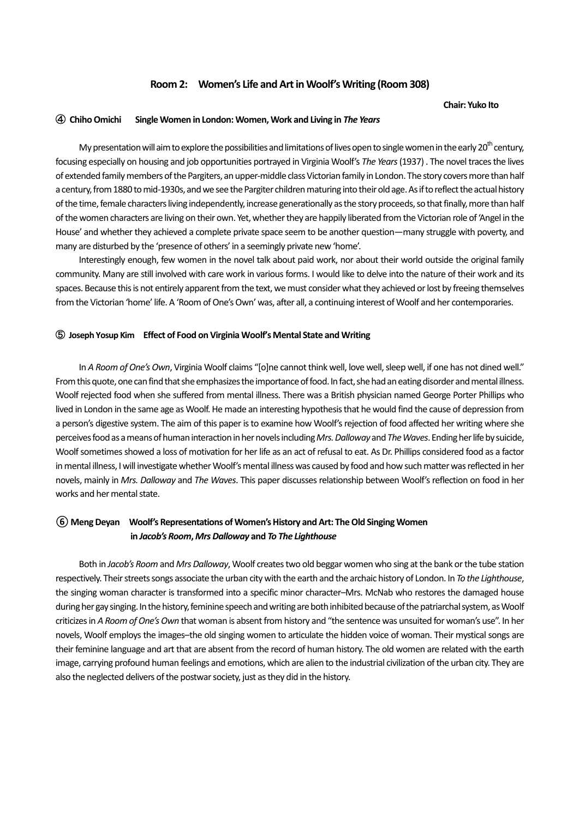### **Room 2:** Women's Life and Art in Woolf's Writing (Room 308)

#### **Chair: Yuko Ito**

### ④ **Chiho Omichi Single Women in London: Women, Work and Living in** *The Years*

My presentation will aim to explore the possibilities and limitations of lives open to single women in the early 20<sup>th</sup> century, focusing especially on housing and job opportunities portrayed in Virginia Woolf's The Years (1937) . The novel traces the lives of extended family members of the Pargiters, an upper-middle class Victorian family in London. The story covers more than half a century, from 1880 to mid-1930s, and we see the Pargiter children maturing into their old age. As if to reflect the actual history of the time, female characters living independently, increase generationally as the story proceeds, so that finally, more than half of the women characters are living on their own. Yet, whether they are happily liberated from the Victorian role of 'Angel in the House' and whether they achieved a complete private space seem to be another question—many struggle with poverty, and many are disturbed by the 'presence of others' in a seemingly private new 'home'.

Interestingly enough, few women in the novel talk about paid work, nor about their world outside the original family community. Many are still involved with care work in various forms. I would like to delve into the nature of their work and its spaces. Because this is not entirely apparent from the text, we must consider what they achieved or lost by freeing themselves from the Victorian 'home' life. A 'Room of One's Own' was, after all, a continuing interest of Woolf and her contemporaries.

### ⑤ **Joseph Yosup Kim Effect of Food on Virginia Woolf's Mental State and Writing**

In *A Room of One's Own*, Virginia Woolf claims "[o]ne cannot think well, love well, sleep well, if one has not dined well." From this quote, one can find that she emphasizes the importance of food. In fact, she had an eating disorder and mental illness. Woolf rejected food when she suffered from mental illness. There was a British physician named George Porter Phillips who lived in London in the same age as Woolf. He made an interesting hypothesis that he would find the cause of depression from a person's digestive system. The aim of this paper is to examine how Woolf's rejection of food affected her writing where she perceives food as a means of human interaction in her novels including *Mrs. Dalloway* and The Waves. Ending her life by suicide, Woolf sometimes showed a loss of motivation for her life as an act of refusal to eat. As Dr. Phillips considered food as a factor in mental illness, I will investigate whether Woolf's mental illness was caused by food and how such matter was reflected in her novels, mainly in *Mrs. Dalloway* and *The Waves*. This paper discusses relationship between Woolf's reflection on food in her works and her mental state.

# **(6) Meng Deyan** Woolf's Representations of Women's History and Art: The Old Singing Women  **in** *Jacob's Room***,** *MrsDalloway* **and** *To The Lighthouse*

Both in *Jacob's* Room and *Mrs Dalloway*, Woolf creates two old beggar women who sing at the bank or the tube station respectively. Their streets songs associate the urban city with the earth and the archaic history of London. In To the Lighthouse, the singing woman character is transformed into a specific minor character–Mrs. McNab who restores the damaged house during her gay singing. In the history, feminine speech and writing are both inhibited because of the patriarchal system, as Woolf criticizes in *A Room of One's Own* that woman is absent from history and "the sentence was unsuited for woman's use". In her novels, Woolf employs the images–the old singing women to articulate the hidden voice of woman. Their mystical songs are their feminine language and art that are absent from the record of human history. The old women are related with the earth image, carrying profound human feelings and emotions, which are alien to the industrial civilization of the urban city. They are also the neglected delivers of the postwar society, just as they did in the history.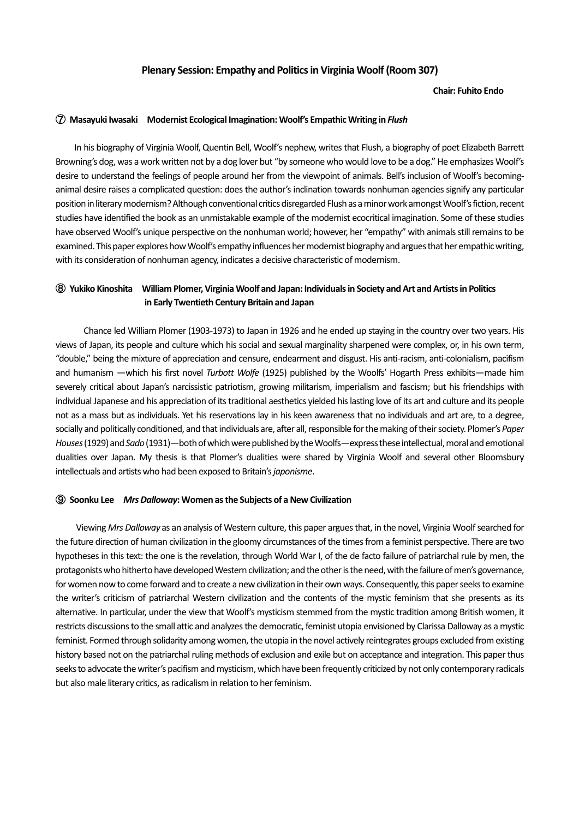### **Plenary Session: Empathy and Politics in Virginia Woolf (Room 307)**

#### **Chair: Fuhito Endo**

#### **(7) Masayuki Iwasaki** Modernist Ecological Imagination: Woolf's Empathic Writing in *Flush*

In his biography of Virginia Woolf, Quentin Bell, Woolf's nephew, writes that Flush, a biography of poet Elizabeth Barrett Browning's dog, was a work written not by a dog lover but "by someone who would love to be a dog." He emphasizes Woolf's desire to understand the feelings of people around her from the viewpoint of animals. Bell's inclusion of Woolf's becominganimal desire raises a complicated question: does the author's inclination towards nonhuman agencies signify any particular position in literary modernism? Although conventional critics disregarded Flush as a minor work amongst Woolf's fiction, recent studies have identified the book as an unmistakable example of the modernist ecocritical imagination. Some of these studies have observed Woolf's unique perspective on the nonhuman world; however, her "empathy" with animals still remains to be examined. This paper explores how Woolf's empathy influences her modernist biography and argues that her empathic writing, with its consideration of nonhuman agency, indicates a decisive characteristic of modernism.

# **(8) Yukiko Kinoshita** William Plomer, Virginia Woolf and Japan: Individuals in Society and Art and Artists in Politics **in Early Twentieth Century Britain and Japan**

Chance led William Plomer (1903-1973) to Japan in 1926 and he ended up staying in the country over two years. His views of Japan, its people and culture which his social and sexual marginality sharpened were complex, or, in his own term, "double," being the mixture of appreciation and censure, endearment and disgust. His anti-racism, anti-colonialism, pacifism and humanism —which his first novel Turbott Wolfe (1925) published by the Woolfs' Hogarth Press exhibits—made him severely critical about Japan's narcissistic patriotism, growing militarism, imperialism and fascism; but his friendships with individual Japanese and his appreciation of its traditional aesthetics yielded his lasting love of its art and culture and its people not as a mass but as individuals. Yet his reservations lay in his keen awareness that no individuals and art are, to a degree, socially and politically conditioned, and that individuals are, after all, responsible for the making of their society. Plomer's Paper Houses (1929) and *Sado* (1931)—both of which were published by the Woolfs—express these intellectual, moral and emotional dualities over Japan. My thesis is that Plomer's dualities were shared by Virginia Woolf and several other Bloomsbury intellectuals and artists who had been exposed to Britain's *japonisme*.

#### ⑨ **Soonku Lee**  *Mrs Dalloway***: Women as the Subjects of a New Civilization**

Viewing *Mrs Dalloway* as an analysis of Western culture, this paper argues that, in the novel, Virginia Woolf searched for the future direction of human civilization in the gloomy circumstances of the times from a feminist perspective. There are two hypotheses in this text: the one is the revelation, through World War I, of the de facto failure of patriarchal rule by men, the protagonists who hitherto have developed Western civilization; and the other is the need, with the failure of men's governance, for women now to come forward and to create a new civilization in their own ways. Consequently, this paper seeks to examine the writer's criticism of patriarchal Western civilization and the contents of the mystic feminism that she presents as its alternative. In particular, under the view that Woolf's mysticism stemmed from the mystic tradition among British women, it restricts discussions to the small attic and analyzes the democratic, feminist utopia envisioned by Clarissa Dalloway as a mystic feminist. Formed through solidarity among women, the utopia in the novel actively reintegrates groups excluded from existing history based not on the patriarchal ruling methods of exclusion and exile but on acceptance and integration. This paper thus seeks to advocate the writer's pacifism and mysticism, which have been frequently criticized by not only contemporary radicals but also male literary critics, as radicalism in relation to her feminism.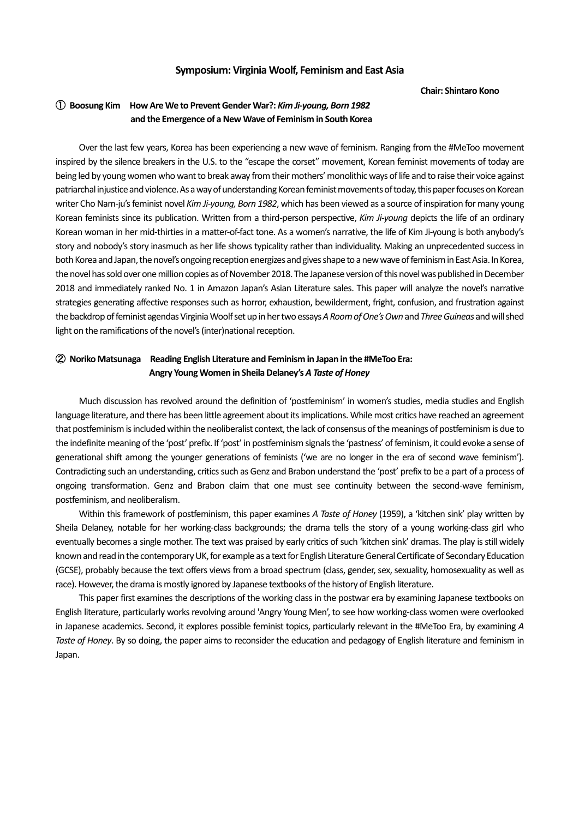### **Symposium: Virginia Woolf, Feminism and East Asia**

#### **Chair: Shintaro Kono**

# ① **Boosung Kim How Are We to Prevent Gender War?:** *Kim Ji-young, Born 1982* and the Emergence of a New Wave of Feminism in South Korea

Over the last few years, Korea has been experiencing a new wave of feminism. Ranging from the #MeToo movement inspired by the silence breakers in the U.S. to the "escape the corset" movement, Korean feminist movements of today are being led by young women who want to break away from their mothers' monolithic ways of life and to raise their voice against patriarchal injustice and violence. As a way of understanding Korean feminist movements of today, this paper focuses on Korean writer Cho Nam-ju's feminist novel Kim Ji-young, Born 1982, which has been viewed as a source of inspiration for many young Korean feminists since its publication. Written from a third-person perspective, *Kim Ji-young* depicts the life of an ordinary Korean woman in her mid-thirties in a matter-of-fact tone. As a women's narrative, the life of Kim Ji-young is both anybody's story and nobody's story inasmuch as her life shows typicality rather than individuality. Making an unprecedented success in both Korea and Japan, the novel's ongoing reception energizes and gives shape to a new wave of feminism in East Asia. In Korea, the novel has sold over one million copies as of November 2018. The Japanese version of this novel was published in December 2018 and immediately ranked No. 1 in Amazon Japan's Asian Literature sales. This paper will analyze the novel's narrative strategies generating affective responses such as horror, exhaustion, bewilderment, fright, confusion, and frustration against the backdrop of feminist agendas Virginia Woolf set up in her two essays *A Room of One's Own* and Three Guineas and will shed light on the ramifications of the novel's (inter)national reception.

# **2 Noriko Matsunaga** Reading English Literature and Feminism in Japan in the #MeToo Era: Angry Young Women in Sheila Delaney's A Taste of Honey

Much discussion has revolved around the definition of 'postfeminism' in women's studies, media studies and English language literature, and there has been little agreement about its implications. While most critics have reached an agreement that postfeminism is included within the neoliberalist context, the lack of consensus of the meanings of postfeminism is due to the indefinite meaning of the 'post' prefix. If 'post' in postfeminism signals the 'pastness' of feminism, it could evoke a sense of generational shift among the younger generations of feminists ('we are no longer in the era of second wave feminism'). Contradicting such an understanding, critics such as Genz and Brabon understand the 'post' prefix to be a part of a process of ongoing transformation. Genz and Brabon claim that one must see continuity between the second-wave feminism, postfeminism, and neoliberalism.

Within this framework of postfeminism, this paper examines *A Taste of Honey* (1959), a 'kitchen sink' play written by Sheila Delaney, notable for her working-class backgrounds; the drama tells the story of a young working-class girl who eventually becomes a single mother. The text was praised by early critics of such 'kitchen sink' dramas. The play is still widely known and read in the contemporary UK, for example as a text for English Literature General Certificate of Secondary Education (GCSE), probably because the text offers views from a broad spectrum (class, gender, sex, sexuality, homosexuality as well as race). However, the drama is mostly ignored by Japanese textbooks of the history of English literature.

This paper first examines the descriptions of the working class in the postwar era by examining Japanese textbooks on English literature, particularly works revolving around 'Angry Young Men', to see how working-class women were overlooked in Japanese academics. Second, it explores possible feminist topics, particularly relevant in the #MeToo Era, by examining A Taste of Honey. By so doing, the paper aims to reconsider the education and pedagogy of English literature and feminism in Japan.